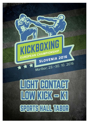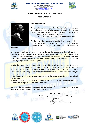

#### **EUROPEAN CHAMPIONSHIPS 2016 MARIBOR** (LIGHT CONTACT – LOW KICK – K1)

Preșident of organizing committee: Tomaž BARADA Gsm: +386 41 679 105 **E-mail:** [info.kickboxingmaribor2016@gmail.com](mailto:info.kickboxingmaribor2016@gmail.com) **Web**[: www.kickboxing-maribor2016.eu](http://www.kickboxing-maribor2016.eu/)



## **OFFICIAL INVITATION TO ALL WAKO MEMBERS**

## **THEIR ADDRESSES**



## **Dear friends in WAKO**

We are pleased to be able to officially invite you and your national teams, to the WAKO European Championships in Light Contact, Low kick and K1 rules, which will take place from the 22th to 30th of October in Maribor, Slovenia.

I hope all of you will attend in as large a number as possible!

The European Championship in Maribor is an event, which will improve our reputation in the world of sports, because we continue to build our integrity in segments through Europe and

the world.

It is also the most important event in this year for our K1 rules athletes since it is qualifiying event for IWGA World Games which will be held in Wroclaw, Poland next year. Only the best athletes from all around the Europe will confirm their participation on IWGA World Games by winning one of first three places on WAKO European Championship in Maribor. WAKO is held in high regards in the world of sports.

Despite the economic and political crisis that is still being felt on all continents. There is no question our European activity is simply unbelievable, the activiy in Europe is greater than the activity in all other continents in WAKO put together. Each year our number of competitors are increasing above expectations and the quality of competitors improves year upon year.

WAKO Europe is strong, but we must get stronger in the future for our fighters, our officials and our sport.

So let us make Maribor our next goal, where we will show that we are top of the world in numbers and in organisational quality within WAKO.

Ladies and Gentlemen, thank you again for your support, for your passion and love to our sport. It will be a great honour to meet you in Maribor!

> Mr. Roy Baker WAKO Europe First vice-president and Acting President









WORLD ANTI-DOPING AGENCY

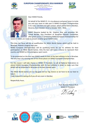







Dear WAKO friends,

On behalf of the WAKO IF, it is my pleasure and great honor to invite you and your team to take part in WAKO European Championships in K1 rules, Low kick and Light contact, which will be held in Maribor, Slovenia, from October 22nd to October 30th, 2016.

WAKO Slovenia leaded by Mr. Vladimir Sitar and promoter Mr. Tomaž Barada, Vice President of Slovenian Olympic Committee, after great success in promoting WAKO European Championships for

seniors in 2014, are ready to present another great WAKO event.

This time our focus will be on qualification for IWGA World Games which will be held in Wroclaw, Poland in August next year.

WAKO European Championships will be qualifying event for our K1 athletes for their participation on IWGA World Games. Only the best will have a chance to represent their country and WAKO on this prestigious sport event.

To be presented on the best way WAKO needs its best of the best athletes to be in Wroclaw. The only way is by winning one of first three places on WAKO European Championships.

For this reason I will take chance as WAKO IF President, to call all National federations to attend WAKO European Championships with its best athletes in order to make sure that WAKO will be presented in Wroclaw as the best combat sport.

The IWGA World Games are our big goal and our big chance so we have to do our best to take it.

Martbon, 23

I look forward to seeing all of you all very soon in Maribor.

Respectfully Yours,

Prof. Borislav Pelević Ph.D. WAKO IF President

 $\overline{\phantom{a}}$  die leur







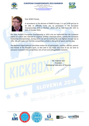







Dear WAKO friends,

In accordance to the decision of WAKO Europe, it is our pride and joy to be able to officially invite you to participate in the European Championships 2016 in Maribor, which will be held from the 22th to 30th of October 2016.

We have hosted a European Championship in 2014 and are honoured that the European capital of culture was selected to organise another important event, namely the European Kickboxing Championships, during which we will be hosting the best fighters Europe has to offer. We will make sure that the competition unfolds in the spirit of sports and fair play.

The National Organisational Committee wishes for all participants, coaches, officials, parents and friends of the beautiful sport, to feel well in our midst and most of all, we wish to everyone involved in the competition, lots of luck and unforgettable moments.



Martbon, 23 - 30, 10, 2016







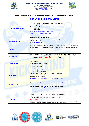



## **For more information about Maribor please look at the presentation enclosed.**

# **ORGANIZER'S INFORMATION**

|                                  | Mr. Tomaž BARADA - " Klub BV Proficio Group Hwarang"                                                    |
|----------------------------------|---------------------------------------------------------------------------------------------------------|
|                                  | Tavčarjeva 8, SI-2000 Maribor, Slovenia                                                                 |
|                                  | Tel.: +386/2-320-05-55                                                                                  |
| <b>Local Organizer Directors</b> | Mobile: +386/41-679 105                                                                                 |
|                                  | Fax: +386/3-4257912                                                                                     |
|                                  | e-mail: info.kickboxingmaribor2016@gmail.com                                                            |
|                                  | Url: http://www.kickboxing-maribor2016.eu                                                               |
|                                  | <b>Kickboxing Federation of Slovenia</b>                                                                |
|                                  | Adress: Ulica Vinka Vodopivca 39, SI-5000 Nova Gorica,                                                  |
| <b>Under support of</b>          | Tel&Fax: +386 31 330 220                                                                                |
|                                  | e-mail: kbzs@wako.si                                                                                    |
|                                  | Web: www.wako.si                                                                                        |
|                                  | Kickboxing Federation of Slovenia and organizer of the event will not be responsible for any            |
|                                  | personal injury, loss or damage to your property arising out of participation and travelling            |
|                                  | connection with these events;                                                                           |
| <b>Liability</b>                 |                                                                                                         |
|                                  | All delegations will check-in after arriving to the official hotel, where they need to present          |
| <b>Accreditations</b>            | their confirmation of the 50% prepayment and then pay the 50% for accommodation and                     |
|                                  | travel expenses. ONLY by CASH IN EURO to the organizers.                                                |
|                                  | <b>Official Hotel is:</b>                                                                               |
| <b>Official Hotels</b>           | <b>Hotel HABAKUK Maribor 4+ star</b>                                                                    |
|                                  | Pohorska ulica 39, SI-2000 Maribor, Slovenia                                                            |
|                                  | Tel.: +386 2 300 81 00                                                                                  |
|                                  | +386 2 300 81 28<br>F:                                                                                  |
|                                  | habakuk@termemb.si<br>E:                                                                                |
|                                  | W.: http://www.hotel-habakuk.si                                                                         |
|                                  | Sports Hall where this event will take place is "Dvorana Tabor",                                        |
|                                  | Koresova ulica 7, Maribor, Slovenia;                                                                    |
| <b>Sports Hall</b>               | You can check their website:                                                                            |
|                                  | http://www.sportni-objekti-maribor.si/dvorana tabor 1.html                                              |
|                                  |                                                                                                         |
|                                  | All Athletes registration must be done online at: www.sportdata.org                                     |
| <b>Registration Online</b>       |                                                                                                         |
|                                  | Appendixes 1 and 2 must be sent to the organizing committee at:                                         |
|                                  | infinfo.kickboxingmaribor2016@gmail.com                                                                 |
|                                  | Online Registration CLOSES 10 <sup>st</sup> October. No registrations will be accepted after this date. |
|                                  | If you forgot your Contry LOG IN and PASSWORD please contact:                                           |
|                                  | Mrs Barbara Falsoni - barbaraf@wakoweb.com                                                              |
|                                  | WAKO HQ shall receive an entry fee for each competitor:                                                 |
| <b>Entry Fee</b>                 | Euro 60,00 per person                                                                                   |
|                                  | The total entry fee can be paid on the spot by the chief of delegation to the WAKO HQ                   |
|                                  | authorized person in Euro cash at the moment of the accreditation.                                      |









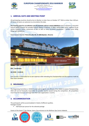



# **1. ARRIVAL DATE AND MEETING POINT**

All participating countries should arrive to Maribor no later than on October 23<sup>nd</sup> 2016 no letter than 4.00 pm. Of course all teams are welcome to arrive before this date.

**The meeting point for accreditation and all payments will be in Hotel HABAKUK** Hotel is situated in a beautiful natural setting beneath the wooded Pohorje plateau in Slovenia. It offers comfortable rooms, wellness & spa centre, congress centre, restaurants & bars as well as many recreation possibilities – cycling, horse riding, hiking, golf etcAddress:

### Hotel Habakuk Maribor **Pohorska ulica 39, SI–2000 Maribor, Slovenia**



**GPS - coordinates** 

**46.53320 - 15.60110**

Each country is responsible for its own expenses while attending the Championships and the expenses made by their team members.

# **2. INSURANCE**

The Organising Committee or WAKO Europe and its agents and officials of the WAKO European Championships 2016 will not be financially responsible for possible injuries caused during the competition. All competitors must have full insurance coverage from their own organization / country.

# **3. ACCOMMODATION**

The participants will be accommodated in Hotels of different qualities. Packages include:

Half board per person for the selected package

Guests of the Hotel 4<sup>+</sup> Star Deluxe: have a free entrance to the Wellness-Spa Centre Habakuk.





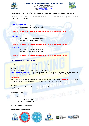



Hotel services start on the day of arrival with a dinner and end with a breakfast on the day of departure.

Because we have a limited number of single rooms, we ask that you turn to the organiser in time for coordination with the Hotels.

## **HOTEL – 4 <sup>+</sup> Stars DELUXE:**

- Single Room 130 euro/person/night;
- Double Room 110 euro/person/night

 **\* Note: Prices include HALF BOARD and transportation from hotel to sports hall and back;**

#### **HOTEL – 4 Stars:**

- Single Room 95 euro/person/night;
- Double Room 75 euro/person/night;

 **\* Note: Prices include HALF BOARD and transportation from hotel to sports hall and back;**

#### **HOTEL – 3 Stars:**

- Single Room 85 euro/person/night;
- Double Room 65 euro/person/night;

 **\* Note: Prices include HALF BOARD and transportation from hotel to sports hall and back;**

### **3.1 Accommodation Reservations:**

To make a successful booking for a Hotel please follow these steps:

#### **Step one:**

Fill out and send back to the Organising Committee's e-mail: [bookingkbmb2016@gmail.com](mailto:bookingkbmb2016@gmail.com) the '**Accommodation form**' APPENDIX N.5. After this the Organising Committee will contact the responsible person in each country to confirm the preliminary booking.

#### **Very important!**

The 'Accommodation form' must reach the organising committee at the latest on **September 15th 2016**. After this date the organiser cannot guarantee places in the hotel or the above mentioned prices.

#### **Step two:**

After your accommodation is confirmed, you need to pay 50% of the entire sum in advance, to the following bank account:  $\frac{1}{100}$ , 23–30. 10. 2016

#### BANK INFORMATION:

SKB BANKA d.d. Ajdovščina 4 SI-1513 LJUBLJANA, **SLOVENIA** SWIFT / BIC kode**: SKBASI2X**

ACCOUNT OWNER INFORMATION:

### IBAN: **SI56 0313 2100 0215 584**





WORLD ANTI-DOPING AGENCY

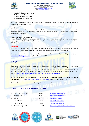

(LIGHT CONTACT – LOW KICK – K1) ent of organizing committee: Tomaž BARADA Gsm: +386 41 679 105 **E-mail:** [info.kickboxingmaribor2016@gmail.com](mailto:info.kickboxingmaribor2016@gmail.com) **Web: www.kickboxing** 



 **Klub BV Proficio Group Hwarang Tavčarjeva ulica 8 SI-2000 MARIBOR, SLOVENIA** SWIFT / BIC kode: **SKBASI2X**

Please take note, that the reservation will not be officially accepted, until the payment is made and the money has arrive to the organisers account.

### **Step three:**

After the organiser receives the advance, they will inform the person responsible and confirm the reservation of accommodation. The 50% difference needs to be paid in cash on the day of accreditation, directly to the organisational committee.

#### **Making changes to the reservation:**

Up to and including the 20<sup>th</sup> of September 2016, it is possible to make minor alterations in your reservation and any changes in cost will be dealt with during accreditation. After this date, it will be impossible to make any changes.

### **Attention!**

All participating countries need to manage their accommodation over the organising committee. In case this rule is ignored, the country in question will not be allowed to participate on the championships.

All accommodation forms and possible changes, need to be sent to the organising committee at: [bookingkbmb2016@gmail.com](mailto:bookingkbmb2016@gmail.com) or by fax: + 386 3 425 79 12.

## **4. VISA**

The organising board has notified the Slovenian embassies and consulates about the European championship. If you require a visa you must turn to the Slovenian embassy or consulate in your country. In case any issues arise turn to the organising board. To easily check which countries require a visa for Slovenia and which do not, please visit the Ministry Of Internal Affairs web site, where you will find all the necessary information about visas: [http://www.mzz.gov.si/en/travel\\_and\\_visa\\_information/visa\\_information/](http://www.mzz.gov.si/en/travel_and_visa_information/visa_information/)

Fill out and send back to the Organising Committee's '**APPLICATION FORM FOR VISA REQUEST**' **APPENDIX N.4** via e-mail[: info.kickboxingmaribor2016@gmail.com](mailto:info.kickboxingmaribor2016@gmail.com) **or Fax: +386 3 425 79 12.**

More about visas can also be found on the organisers official web site.

# **5. WAKO EUROPE ORGANISING COMMITTEE**

- 1. Roy Baker (Tec. Director) Treland [roy.baker@airtricity.com](mailto:roy.baker@airtricity.com)
- 
- 
- 
- 
- 

2. Nicola Traina **International Community** Italy *[nicola.traina@vodafone.it](mailto:nicola.traina@vodafone.it)* 3. Giorgio Lico **Italy Italy** [giorgiolico@libero.it](mailto:giorgiolico@libero.it) 4. Srdjan Bugarcic Serbia [bugarcics@ikomline.net](mailto:bugarcics@ikomline.net) 5. Romeo Desa Croatia [romeo.desa@ri.t-com.hr](mailto:romeo.desa@ri.t-com.hr) 6. Alexander Engelhardt Holland [alexander.engelhardt@wakonederland.nl](mailto:alexander.engelhardt@wakonederland.nl)









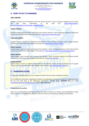

**E-mail:** [info.kickboxingmaribor2016@gmail.com](mailto:info.kickboxingmaribor2016@gmail.com)

ribor2016.eu



# **6. HOW TO GET TO MARIBOR**

## **GRAZ AIRPORT**

Maribor is located only 70 kilometres from Graz Airport (Austria). Teams arriving by airplane to Graz Airport can find more information on the web site: [http://www.flughafen](http://www.flughafen-graz.at/home/index.en.php?change_language=English)[graz.at/home/index.en.php?change\\_language=English](http://www.flughafen-graz.at/home/index.en.php?change_language=English)

### **VIENNA AIRPORT**

Maribor is located 255 kilometres away from Vienna Airport (Austria). Teams arriving by airplane to the Vienna Airport can find more information on the web site: [http://www.viennaairport.com](http://www.viennaairport.com/)

### **LJUBLJANA AIRPORT**

Ljubljana Airport is located 125 kilometres from Maribor. Teams arriving by airplane to the Ljubljana Airport can find more information about flights on the web site:<http://www.lju-airport.si/eng>

#### **TRIESTE AIRPORT**

Trieste Airport, Italy is located 216 kilometres from Maribor. Teams arriving by airplane to the Trieste Airport can find more information about flights on the web site:<http://www.aeroporto.fvg.it/si/home/index.htm>

### **VENICE AIRPORT**

Venice Airport, Italy is located 366 kilometres from Maribor. Teams arriving by airplane to the Venice Airport can find more information about flights on the web site:<http://www.initalia.it/>

#### **ZAGREB AIRPORT**

Zagreb Airport, Croatia is located 113 kilometres from Maribor. Teams arriving by airplane to the Zagreb Airport can find more information about flights on the web site:<http://www.zagreb-airport.hr/>

# **7. TRANSPORTATION**

For everyone arriving by plane, we can arrange a transfer from the airport to Maribor and back.

For all additional information regarding the details of transportation and prices contact the organising board. Fill out and send back to the Organising Committee's '**Transfer form**' **APPENDIX N.6** via e-mail: [info.kickboxingmaribor2016@gmail.com](mailto:info.kickboxingmaribor2016@gmail.com) **or Fax: +386 3 425 79 12.**

#### **Transportation by car/bus**

There are no problems for travelling by car/bus; the roads in Slovenia are modern and comfortable for travel. Please note the use of mandatory vignettes, which you can buy at entrance gas stations at these prices:

Maribon 2











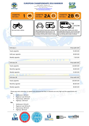| Slovenija                              | <b>EUROPEAN CHAMPIONSHIPS 2016 MARIBOR</b><br>(LIGHT CONTACT - LOW KICK - K1)<br>President of organizing committee: Tomaž BARADA<br>Gsm: +386 41 679 105<br>E-mail: info.kickboxingmaribor2016@gmail.com<br>Web: www.kickboxing-maribor2016.eu |                                                                                                                                                                                            |
|----------------------------------------|------------------------------------------------------------------------------------------------------------------------------------------------------------------------------------------------------------------------------------------------|--------------------------------------------------------------------------------------------------------------------------------------------------------------------------------------------|
| <b>VIGNETTE</b><br>toll class:         | VIGNETTE 2A                                                                                                                                                                                                                                    | VIGNETTE 2B                                                                                                                                                                                |
| <b>GYO</b><br>One-track motor vehicles | Caravans and two-track motor vehicles with<br>vehicle height above front axis up to 1.30<br>m and the maximum authorised mass not<br>exceeding 3.500 kg, with a trailer or without.                                                            | $\geq 1.3$ m<br>Two-track motor vehicles with vehicle<br>height above front axis 1.30 m or more and<br>the maximum authorised mass not exceed-<br>ing 3.500 kg, with a trailer or without. |

| Toll class 1       | Price with VAT |
|--------------------|----------------|
| Yearly vignette    | 55.00 EUR      |
| Half-year vignette | 30.00 EUR      |
| Weekly vignette    | 7.50 EUR       |
|                    |                |
| Toll class 2A      | Price with VAT |
| Yearly vignette    | 110.00 EUR     |
| Monthly vignette   | 30.00 EUR      |
| Weekly vignette    | 15.00 EUR      |
|                    |                |
| Toll class 2B      | Price with VAT |
| Yearly vignette    | 220.00 EUR     |
| Monthly vignette   | 80.00 EUR      |
| Weekly vignette    | 40.00 EUR      |

Please pay extra attention to speed limits because the fines in Slovenia are very high and the speed limits are: **Car**

- Settlement: 50 km/h
- Regional road: 90 km/h
- Expressway: 100 km/h
- Highway: 130 km/h
- **Bus**
	- Settlement: 50 km/h
	- Regional road: 80 km/h
	- Expressway: 80 km/h
	- Highway: 80 km/h







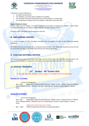

**EUROPEAN CHAMPIONSHIPS 2016 MARIBOR**

(LIGHT CONTACT – LOW KICK – K1) ent of organizing committee: Tomaž BARADA Gsm: +386 41 679 105 **E-mail:** [info.kickboxingmaribor2016@gmail.com](mailto:info.kickboxingmaribor2016@gmail.com) **Web**[: www.kickboxing-maribor2016.eu](http://www.kickboxing-maribor2016.eu/)



In Slovenia it is also mandatory to:

- Use lights during daytime;
- Use seatbelts on all seats where seatbelts are installed;
- Use of proper motorcycle helmet for drivers and passengers on motorcycles;
- Use of fog lamps is allowed only if the visibility is reduced by more then 50%.

#### **Degree of alcohol in blood**

Drivers of the A and B category can have a maximum of 0,5 grams of alcohol per kilogram in their blood, conditioned that they do not display drunken behaviour at lower values of alcohol.

For more traffic information visit the organisers web site.

# **8. ANTI-DOPING CONTROL**

It is strictly forbidden to take any illegal stimulants that are against the rules of the WAKO Anti-doping regulations.

The WAKO will have anti-doping tests on randomly chosen winners. Each athlete found positive by the test will be sanctioned according to the WAKO General Rules Anti-doping regulations.

# **9. FLAG AND NATIONAL ANTHEM**

Each participating country must bring 2 (two) flags, size 90 x 130 cm and a CD with their national anthem. The flag and CD are handed in at registration and will be returned to each participant after the competition.

# **10. OFFICIAL PROGRAM**

# *22th October - 30th October 2016*

*In case of need, this schedule can be subject to changes from the organizers*

## **Saturday 22th of October:**

- Arrival of all delegations
- 2pm 8pm Registration, Payment and Hotel Check- Weight Control Medical Check in at Official Hotel "Habakuk Maribor" Pohorska ulica 39, SI–2000 Maribor, Slovenia. (Srdjan Bugarcic / Romeo Desa)

## **Sunday 23th of October:**

- Arrival of all delegations
- 2pm 8pm Registration, Payment and Hotel Check- Weight Control Medical Check in at Official Hotel "Habakuk Maribor" Pohorska ulica 39, SI–2000 Maribor, Slovenia. (Srdjan Bugarcic / Romeo Desa)

### ( Registration will strictley close at 8pm)

- 8pm – 10pm WAKO Europe Board Of Directors meeting *(Roy Baker)*













 $0.10.201$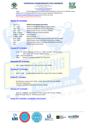

# **EUROPEAN CHAMPIONSHIPS 2016 MARIBOR**

(LIGHT CONTACT – LOW KICK – K1) ent of organizing committee: Tomaž BARADA Gsm: +386 41 679 105 **E-mail:** [info.kickboxingmaribor2016@gmail.com](mailto:info.kickboxingmaribor2016@gmail.com) **Web**[: www.kickboxing-maribor2016.eu](http://www.kickboxing-maribor2016.eu/)



- 11pm Team Listings placed on WAKO Web (notification of any error in athletes names, weight class or discippline MUST be send ny mail to Alexander Engelhardt on: [alexander.engelhardt@wakonederland.nl](mailto:alexander.engelhardt@wakonederland.nl) by 10am next day)
- ( NO changes accepted beyond this time)

## **Monday 24th of October:**

|                          | $10am - 12$       | <b>WAKO Europe General Assembley</b>                   |
|--------------------------|-------------------|--------------------------------------------------------|
|                          | $12 - 2pm$        | WAKO Europe Referee seminar (tatami sports)            |
|                          | $2pm-4pm$         | WAKO Europe Referee seminar (ring sports)              |
| $\overline{\phantom{a}}$ | $2pm-3pm$         | WAKO Europe Fair pay and ethics (athletes)             |
| ÷,                       | $3pm - 4.30pm$    | <b>WAKO Europe Anti doping (athletes)</b>              |
| $\overline{\phantom{a}}$ | $4.30pm - 5.30pm$ | Coach meeting                                          |
| $\overline{\phantom{a}}$ | $5.30pm - 6pm$    | Official drawing                                       |
|                          | $6pm - 7pm$       | WAKO Europe athletes committee meeting (Tomaž Barada)  |
|                          | $7$ pm – $8$ pm   | WAKO Europe media committee meeting (Per Ringsby)      |
|                          | 8pm               | WAKO Europe medical committee meeting (Dr Zoltan Pall) |
|                          | 8pm               | <b>WAKO Europe Board Dinner</b>                        |
|                          |                   |                                                        |

## **Tuesday 25th of October:**

- 11am 12 Official Opening Ceremony of "Wako European Championships 2016 "Sport Hall" Dvorana TABOR, Maribor;
- 13pm-19pm Qualifications;
- 20pm Banquet for Wako Presidents" at Hotel CITY;

## **Wendesday 26th of October:**

10am - 19pm Qualifications at "Sport Hall" Dvorana TABOR;

## **Thursday 27th of October:**

- 10.00 – 19.00 Qualifications continue from ("Sport Hall" Dvorana TABOR);

## **Friday 28 th of October:**

- Qualifications continue from 10.00 14.00 ("Sport Hall" Dvorana TABOR);
- First part of Finals from.
- 14:00 pm -19:00 pm; ("Sport Hall" Dvorana TABOR);

## **Saturday 29 th of October:**

- 10:00 am –15:00 pm Second part of Finals ("Sport Hall" Dvorana TABOR);;
- From 20:30 pm Party at " Barada sports Center";

**Sunday 30 th of October: Everybody is free to leave**













 $0.2016$